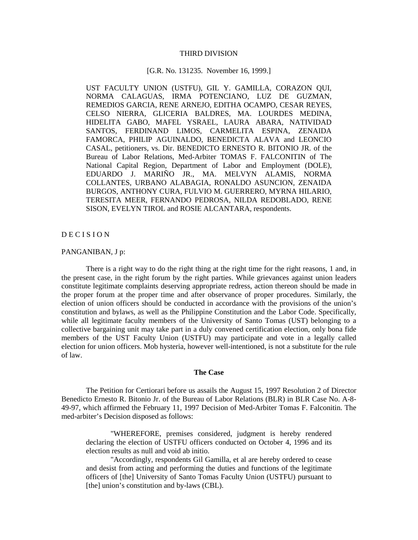## THIRD DIVISION

# [G.R. No. 131235. November 16, 1999.]

UST FACULTY UNION (USTFU), GIL Y. GAMILLA, CORAZON QUI, NORMA CALAGUAS, IRMA POTENCIANO, LUZ DE GUZMAN, REMEDIOS GARCIA, RENE ARNEJO, EDITHA OCAMPO, CESAR REYES, CELSO NIERRA, GLICERIA BALDRES, MA. LOURDES MEDINA, HIDELITA GABO, MAFEL YSRAEL, LAURA ABARA, NATIVIDAD SANTOS, FERDINAND LIMOS, CARMELITA ESPINA, ZENAIDA FAMORCA, PHILIP AGUINALDO, BENEDICTA ALAVA and LEONCIO CASAL, petitioners, vs. Dir. BENEDICTO ERNESTO R. BITONIO JR. of the Bureau of Labor Relations, Med-Arbiter TOMAS F. FALCONITIN of The National Capital Region, Department of Labor and Employment (DOLE), EDUARDO J. MARIÑO JR., MA. MELVYN ALAMIS, NORMA COLLANTES, URBANO ALABAGIA, RONALDO ASUNCION, ZENAIDA BURGOS, ANTHONY CURA, FULVIO M. GUERRERO, MYRNA HILARIO, TERESITA MEER, FERNANDO PEDROSA, NILDA REDOBLADO, RENE SISON, EVELYN TIROL and ROSIE ALCANTARA, respondents.

# D E C I S I O N

# PANGANIBAN, J p:

There is a right way to do the right thing at the right time for the right reasons, 1 and, in the present case, in the right forum by the right parties. While grievances against union leaders constitute legitimate complaints deserving appropriate redress, action thereon should be made in the proper forum at the proper time and after observance of proper procedures. Similarly, the election of union officers should be conducted in accordance with the provisions of the union's constitution and bylaws, as well as the Philippine Constitution and the Labor Code. Specifically, while all legitimate faculty members of the University of Santo Tomas (UST) belonging to a collective bargaining unit may take part in a duly convened certification election, only bona fide members of the UST Faculty Union (USTFU) may participate and vote in a legally called election for union officers. Mob hysteria, however well-intentioned, is not a substitute for the rule of law.

#### **The Case**

The Petition for Certiorari before us assails the August 15, 1997 Resolution 2 of Director Benedicto Ernesto R. Bitonio Jr. of the Bureau of Labor Relations (BLR) in BLR Case No. A-8- 49-97, which affirmed the February 11, 1997 Decision of Med-Arbiter Tomas F. Falconitin. The med-arbiter's Decision disposed as follows:

"WHEREFORE, premises considered, judgment is hereby rendered declaring the election of USTFU officers conducted on October 4, 1996 and its election results as null and void ab initio.

"Accordingly, respondents Gil Gamilla, et al are hereby ordered to cease and desist from acting and performing the duties and functions of the legitimate officers of [the] University of Santo Tomas Faculty Union (USTFU) pursuant to [the] union's constitution and by-laws (CBL).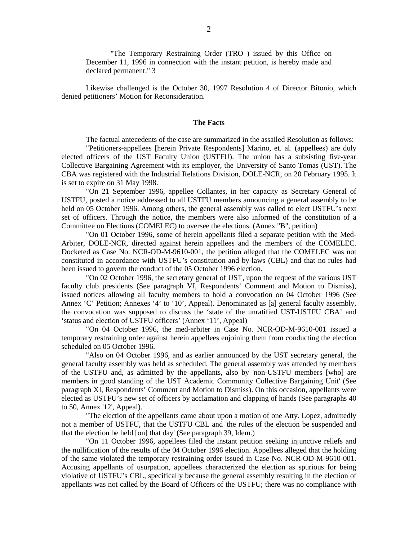"The Temporary Restraining Order (TRO ) issued by this Office on December 11, 1996 in connection with the instant petition, is hereby made and declared permanent." 3

Likewise challenged is the October 30, 1997 Resolution 4 of Director Bitonio, which denied petitioners' Motion for Reconsideration.

## **The Facts**

The factual antecedents of the case are summarized in the assailed Resolution as follows: "Petitioners-appellees [herein Private Respondents] Marino, et. al. (appellees) are duly elected officers of the UST Faculty Union (USTFU). The union has a subsisting five-year Collective Bargaining Agreement with its employer, the University of Santo Tomas (UST). The CBA was registered with the Industrial Relations Division, DOLE-NCR, on 20 February 1995. It is set to expire on 31 May 1998.

"On 21 September 1996, appellee Collantes, in her capacity as Secretary General of USTFU, posted a notice addressed to all USTFU members announcing a general assembly to be held on 05 October 1996. Among others, the general assembly was called to elect USTFU's next set of officers. Through the notice, the members were also informed of the constitution of a Committee on Elections (COMELEC) to oversee the elections. (Annex "B", petition)

"On 01 October 1996, some of herein appellants filed a separate petition with the Med-Arbiter, DOLE-NCR, directed against herein appellees and the members of the COMELEC. Docketed as Case No. NCR-OD-M-9610-001, the petition alleged that the COMELEC was not constituted in accordance with USTFU's constitution and by-laws (CBL) and that no rules had been issued to govern the conduct of the 05 October 1996 election.

"On 02 October 1996, the secretary general of UST, upon the request of the various UST faculty club presidents (See paragraph VI, Respondents' Comment and Motion to Dismiss), issued notices allowing all faculty members to hold a convocation on 04 October 1996 (See Annex 'C' Petition; Annexes '4' to '10', Appeal). Denominated as [a] general faculty assembly, the convocation was supposed to discuss the 'state of the unratified UST-USTFU CBA' and 'status and election of USTFU officers' (Annex '11', Appeal)

"On 04 October 1996, the med-arbiter in Case No. NCR-OD-M-9610-001 issued a temporary restraining order against herein appellees enjoining them from conducting the election scheduled on 05 October 1996.

"Also on 04 October 1996, and as earlier announced by the UST secretary general, the general faculty assembly was held as scheduled. The general assembly was attended by members of the USTFU and, as admitted by the appellants, also by 'non-USTFU members [who] are members in good standing of the UST Academic Community Collective Bargaining Unit' (See paragraph XI, Respondents' Comment and Motion to Dismiss). On this occasion, appellants were elected as USTFU's new set of officers by acclamation and clapping of hands (See paragraphs 40 to 50, Annex '12', Appeal).

"The election of the appellants came about upon a motion of one Atty. Lopez, admittedly not a member of USTFU, that the USTFU CBL and 'the rules of the election be suspended and that the election be held [on] that day' (See paragraph 39, Idem.)

"On 11 October 1996, appellees filed the instant petition seeking injunctive reliefs and the nullification of the results of the 04 October 1996 election. Appellees alleged that the holding of the same violated the temporary restraining order issued in Case No. NCR-OD-M-9610-001. Accusing appellants of usurpation, appellees characterized the election as spurious for being violative of USTFU's CBL, specifically because the general assembly resulting in the election of appellants was not called by the Board of Officers of the USTFU; there was no compliance with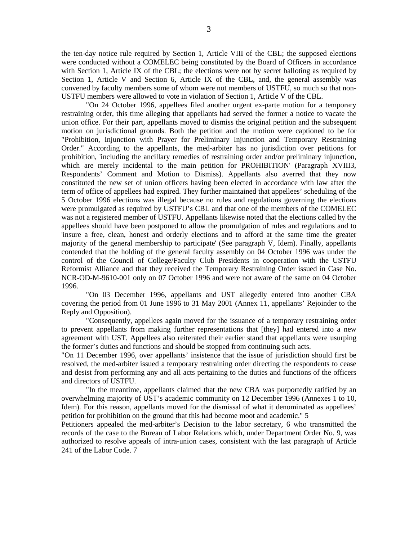the ten-day notice rule required by Section 1, Article VIII of the CBL; the supposed elections were conducted without a COMELEC being constituted by the Board of Officers in accordance with Section 1, Article IX of the CBL; the elections were not by secret balloting as required by Section 1, Article V and Section 6, Article IX of the CBL, and, the general assembly was convened by faculty members some of whom were not members of USTFU, so much so that non-USTFU members were allowed to vote in violation of Section 1, Article V of the CBL.

"On 24 October 1996, appellees filed another urgent ex-parte motion for a temporary restraining order, this time alleging that appellants had served the former a notice to vacate the union office. For their part, appellants moved to dismiss the original petition and the subsequent motion on jurisdictional grounds. Both the petition and the motion were captioned to be for "Prohibition, Injunction with Prayer for Preliminary Injunction and Temporary Restraining Order." According to the appellants, the med-arbiter has no jurisdiction over petitions for prohibition, 'including the ancillary remedies of restraining order and/or preliminary injunction, which are merely incidental to the main petition for PROHIBITION' (Paragraph XVIII3, Respondents' Comment and Motion to Dismiss). Appellants also averred that they now constituted the new set of union officers having been elected in accordance with law after the term of office of appellees had expired. They further maintained that appellees' scheduling of the 5 October 1996 elections was illegal because no rules and regulations governing the elections were promulgated as required by USTFU's CBL and that one of the members of the COMELEC was not a registered member of USTFU. Appellants likewise noted that the elections called by the appellees should have been postponed to allow the promulgation of rules and regulations and to 'insure a free, clean, honest and orderly elections and to afford at the same time the greater majority of the general membership to participate' (See paragraph V, Idem). Finally, appellants contended that the holding of the general faculty assembly on 04 October 1996 was under the control of the Council of College/Faculty Club Presidents in cooperation with the USTFU Reformist Alliance and that they received the Temporary Restraining Order issued in Case No. NCR-OD-M-9610-001 only on 07 October 1996 and were not aware of the same on 04 October 1996.

"On 03 December 1996, appellants and UST allegedly entered into another CBA covering the period from 01 June 1996 to 31 May 2001 (Annex 11, appellants' Rejoinder to the Reply and Opposition).

"Consequently, appellees again moved for the issuance of a temporary restraining order to prevent appellants from making further representations that [they] had entered into a new agreement with UST. Appellees also reiterated their earlier stand that appellants were usurping the former's duties and functions and should be stopped from continuing such acts.

"On 11 December 1996, over appellants' insistence that the issue of jurisdiction should first be resolved, the med-arbiter issued a temporary restraining order directing the respondents to cease and desist from performing any and all acts pertaining to the duties and functions of the officers and directors of USTFU.

"In the meantime, appellants claimed that the new CBA was purportedly ratified by an overwhelming majority of UST's academic community on 12 December 1996 (Annexes 1 to 10, Idem). For this reason, appellants moved for the dismissal of what it denominated as appellees' petition for prohibition on the ground that this had become moot and academic." 5

Petitioners appealed the med-arbiter's Decision to the labor secretary, 6 who transmitted the records of the case to the Bureau of Labor Relations which, under Department Order No. 9, was authorized to resolve appeals of intra-union cases, consistent with the last paragraph of Article 241 of the Labor Code. 7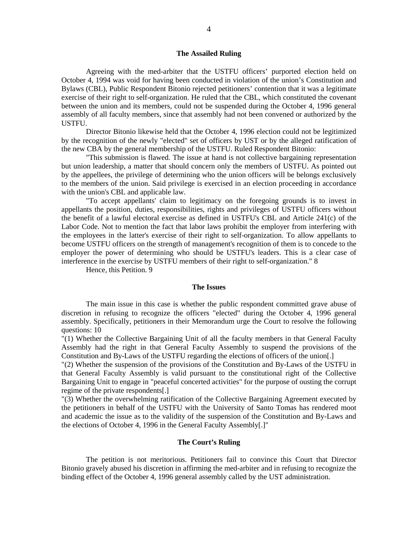## **The Assailed Ruling**

Agreeing with the med-arbiter that the USTFU officers' purported election held on October 4, 1994 was void for having been conducted in violation of the union's Constitution and Bylaws (CBL), Public Respondent Bitonio rejected petitioners' contention that it was a legitimate exercise of their right to self-organization. He ruled that the CBL, which constituted the covenant between the union and its members, could not be suspended during the October 4, 1996 general assembly of all faculty members, since that assembly had not been convened or authorized by the USTFU.

Director Bitonio likewise held that the October 4, 1996 election could not be legitimized by the recognition of the newly "elected" set of officers by UST or by the alleged ratification of the new CBA by the general membership of the USTFU. Ruled Respondent Bitonio:

"This submission is flawed. The issue at hand is not collective bargaining representation but union leadership, a matter that should concern only the members of USTFU. As pointed out by the appellees, the privilege of determining who the union officers will be belongs exclusively to the members of the union. Said privilege is exercised in an election proceeding in accordance with the union's CBL and applicable law.

"To accept appellants' claim to legitimacy on the foregoing grounds is to invest in appellants the position, duties, responsibilities, rights and privileges of USTFU officers without the benefit of a lawful electoral exercise as defined in USTFU's CBL and Article 241(c) of the Labor Code. Not to mention the fact that labor laws prohibit the employer from interfering with the employees in the latter's exercise of their right to self-organization. To allow appellants to become USTFU officers on the strength of management's recognition of them is to concede to the employer the power of determining who should be USTFU's leaders. This is a clear case of interference in the exercise by USTFU members of their right to self-organization." 8

Hence, this Petition. 9

#### **The Issues**

The main issue in this case is whether the public respondent committed grave abuse of discretion in refusing to recognize the officers "elected" during the October 4, 1996 general assembly. Specifically, petitioners in their Memorandum urge the Court to resolve the following questions: 10

"(1) Whether the Collective Bargaining Unit of all the faculty members in that General Faculty Assembly had the right in that General Faculty Assembly to suspend the provisions of the Constitution and By-Laws of the USTFU regarding the elections of officers of the union[.]

"(2) Whether the suspension of the provisions of the Constitution and By-Laws of the USTFU in that General Faculty Assembly is valid pursuant to the constitutional right of the Collective Bargaining Unit to engage in "peaceful concerted activities" for the purpose of ousting the corrupt regime of the private respondents[.]

"(3) Whether the overwhelming ratification of the Collective Bargaining Agreement executed by the petitioners in behalf of the USTFU with the University of Santo Tomas has rendered moot and academic the issue as to the validity of the suspension of the Constitution and By-Laws and the elections of October 4, 1996 in the General Faculty Assembly[.]"

# **The Court's Ruling**

The petition is not meritorious. Petitioners fail to convince this Court that Director Bitonio gravely abused his discretion in affirming the med-arbiter and in refusing to recognize the binding effect of the October 4, 1996 general assembly called by the UST administration.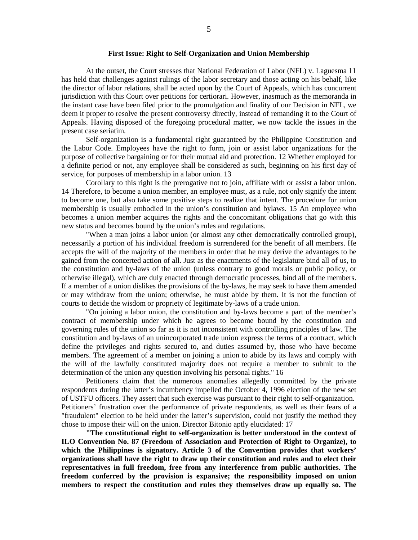### **First Issue: Right to Self-Organization and Union Membership**

At the outset, the Court stresses that National Federation of Labor (NFL) v. Laguesma 11 has held that challenges against rulings of the labor secretary and those acting on his behalf, like the director of labor relations, shall be acted upon by the Court of Appeals, which has concurrent jurisdiction with this Court over petitions for certiorari. However, inasmuch as the memoranda in the instant case have been filed prior to the promulgation and finality of our Decision in NFL, we deem it proper to resolve the present controversy directly, instead of remanding it to the Court of Appeals. Having disposed of the foregoing procedural matter, we now tackle the issues in the present case seriatim.

Self-organization is a fundamental right guaranteed by the Philippine Constitution and the Labor Code. Employees have the right to form, join or assist labor organizations for the purpose of collective bargaining or for their mutual aid and protection. 12 Whether employed for a definite period or not, any employee shall be considered as such, beginning on his first day of service, for purposes of membership in a labor union. 13

Corollary to this right is the prerogative not to join, affiliate with or assist a labor union. 14 Therefore, to become a union member, an employee must, as a rule, not only signify the intent to become one, but also take some positive steps to realize that intent. The procedure for union membership is usually embodied in the union's constitution and bylaws. 15 An employee who becomes a union member acquires the rights and the concomitant obligations that go with this new status and becomes bound by the union's rules and regulations.

"When a man joins a labor union (or almost any other democratically controlled group), necessarily a portion of his individual freedom is surrendered for the benefit of all members. He accepts the will of the majority of the members in order that he may derive the advantages to be gained from the concerted action of all. Just as the enactments of the legislature bind all of us, to the constitution and by-laws of the union (unless contrary to good morals or public policy, or otherwise illegal), which are duly enacted through democratic processes, bind all of the members. If a member of a union dislikes the provisions of the by-laws, he may seek to have them amended or may withdraw from the union; otherwise, he must abide by them. It is not the function of courts to decide the wisdom or propriety of legitimate by-laws of a trade union.

"On joining a labor union, the constitution and by-laws become a part of the member's contract of membership under which he agrees to become bound by the constitution and governing rules of the union so far as it is not inconsistent with controlling principles of law. The constitution and by-laws of an unincorporated trade union express the terms of a contract, which define the privileges and rights secured to, and duties assumed by, those who have become members. The agreement of a member on joining a union to abide by its laws and comply with the will of the lawfully constituted majority does not require a member to submit to the determination of the union any question involving his personal rights." 16

Petitioners claim that the numerous anomalies allegedly committed by the private respondents during the latter's incumbency impelled the October 4, 1996 election of the new set of USTFU officers. They assert that such exercise was pursuant to their right to self-organization. Petitioners' frustration over the performance of private respondents, as well as their fears of a "fraudulent" election to be held under the latter's supervision, could not justify the method they chose to impose their will on the union. Director Bitonio aptly elucidated: 17

**"The constitutional right to self-organization is better understood in the context of ILO Convention No. 87 (Freedom of Association and Protection of Right to Organize), to which the Philippines is signatory. Article 3 of the Convention provides that workers' organizations shall have the right to draw up their constitution and rules and to elect their representatives in full freedom, free from any interference from public authorities. The freedom conferred by the provision is expansive; the responsibility imposed on union members to respect the constitution and rules they themselves draw up equally so. The**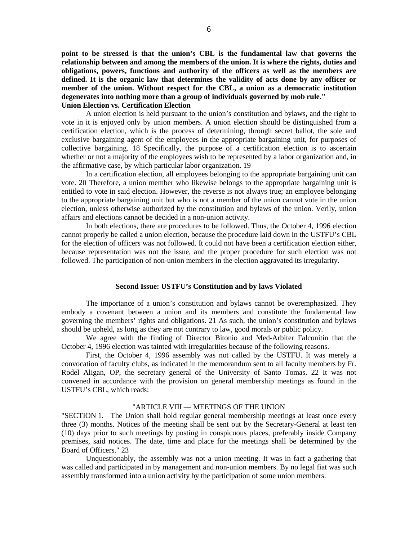**point to be stressed is that the union's CBL is the fundamental law that governs the relationship between and among the members of the union. It is where the rights, duties and obligations, powers, functions and authority of the officers as well as the members are defined. It is the organic law that determines the validity of acts done by any officer or member of the union. Without respect for the CBL, a union as a democratic institution degenerates into nothing more than a group of individuals governed by mob rule." Union Election vs. Certification Election**

A union election is held pursuant to the union's constitution and bylaws, and the right to vote in it is enjoyed only by union members. A union election should be distinguished from a certification election, which is the process of determining, through secret ballot, the sole and exclusive bargaining agent of the employees in the appropriate bargaining unit, for purposes of collective bargaining. 18 Specifically, the purpose of a certification election is to ascertain whether or not a majority of the employees wish to be represented by a labor organization and, in the affirmative case, by which particular labor organization. 19

In a certification election, all employees belonging to the appropriate bargaining unit can vote. 20 Therefore, a union member who likewise belongs to the appropriate bargaining unit is entitled to vote in said election. However, the reverse is not always true; an employee belonging to the appropriate bargaining unit but who is not a member of the union cannot vote in the union election, unless otherwise authorized by the constitution and bylaws of the union. Verily, union affairs and elections cannot be decided in a non-union activity.

In both elections, there are procedures to be followed. Thus, the October 4, 1996 election cannot properly be called a union election, because the procedure laid down in the USTFU's CBL for the election of officers was not followed. It could not have been a certification election either, because representation was not the issue, and the proper procedure for such election was not followed. The participation of non-union members in the election aggravated its irregularity.

#### **Second Issue: USTFU's Constitution and by laws Violated**

The importance of a union's constitution and bylaws cannot be overemphasized. They embody a covenant between a union and its members and constitute the fundamental law governing the members' rights and obligations. 21 As such, the union's constitution and bylaws should be upheld, as long as they are not contrary to law, good morals or public policy.

We agree with the finding of Director Bitonio and Med-Arbiter Falconitin that the October 4, 1996 election was tainted with irregularities because of the following reasons.

First, the October 4, 1996 assembly was not called by the USTFU. It was merely a convocation of faculty clubs, as indicated in the memorandum sent to all faculty members by Fr. Rodel Aligan, OP, the secretary general of the University of Santo Tomas. 22 It was not convened in accordance with the provision on general membership meetings as found in the USTFU's CBL, which reads:

# "ARTICLE VIII — MEETINGS OF THE UNION

"SECTION 1. The Union shall hold regular general membership meetings at least once every three (3) months. Notices of the meeting shall be sent out by the Secretary-General at least ten (10) days prior to such meetings by posting in conspicuous places, preferably inside Company premises, said notices. The date, time and place for the meetings shall be determined by the Board of Officers." 23

Unquestionably, the assembly was not a union meeting. It was in fact a gathering that was called and participated in by management and non-union members. By no legal fiat was such assembly transformed into a union activity by the participation of some union members.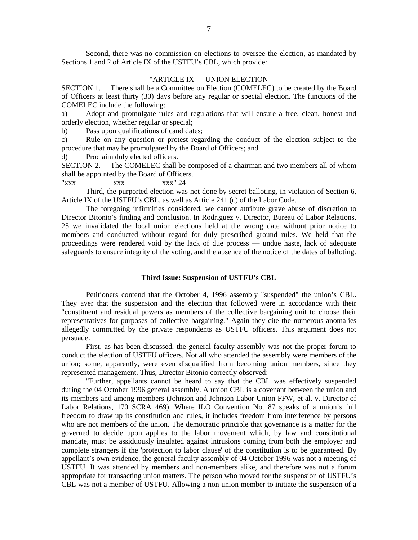Second, there was no commission on elections to oversee the election, as mandated by Sections 1 and 2 of Article IX of the USTFU's CBL, which provide:

# "ARTICLE IX — UNION ELECTION

SECTION 1. There shall be a Committee on Election (COMELEC) to be created by the Board of Officers at least thirty (30) days before any regular or special election. The functions of the COMELEC include the following:

a) Adopt and promulgate rules and regulations that will ensure a free, clean, honest and orderly election, whether regular or special;

b) Pass upon qualifications of candidates;

c) Rule on any question or protest regarding the conduct of the election subject to the procedure that may be promulgated by the Board of Officers; and

d) Proclaim duly elected officers.

SECTION 2. The COMELEC shall be composed of a chairman and two members all of whom shall be appointed by the Board of Officers.

 $"xxx" 24"$ 

Third, the purported election was not done by secret balloting, in violation of Section 6, Article IX of the USTFU's CBL, as well as Article 241 (c) of the Labor Code.

The foregoing infirmities considered, we cannot attribute grave abuse of discretion to Director Bitonio's finding and conclusion. In Rodriguez v. Director, Bureau of Labor Relations, 25 we invalidated the local union elections held at the wrong date without prior notice to members and conducted without regard for duly prescribed ground rules. We held that the proceedings were rendered void by the lack of due process — undue haste, lack of adequate safeguards to ensure integrity of the voting, and the absence of the notice of the dates of balloting.

# **Third Issue: Suspension of USTFU's CBL**

Petitioners contend that the October 4, 1996 assembly "suspended" the union's CBL. They aver that the suspension and the election that followed were in accordance with their "constituent and residual powers as members of the collective bargaining unit to choose their representatives for purposes of collective bargaining." Again they cite the numerous anomalies allegedly committed by the private respondents as USTFU officers. This argument does not persuade.

First, as has been discussed, the general faculty assembly was not the proper forum to conduct the election of USTFU officers. Not all who attended the assembly were members of the union; some, apparently, were even disqualified from becoming union members, since they represented management. Thus, Director Bitonio correctly observed:

"Further, appellants cannot be heard to say that the CBL was effectively suspended during the 04 October 1996 general assembly. A union CBL is a covenant between the union and its members and among members (Johnson and Johnson Labor Union-FFW, et al. v. Director of Labor Relations, 170 SCRA 469). Where ILO Convention No. 87 speaks of a union's full freedom to draw up its constitution and rules, it includes freedom from interference by persons who are not members of the union. The democratic principle that governance is a matter for the governed to decide upon applies to the labor movement which, by law and constitutional mandate, must be assiduously insulated against intrusions coming from both the employer and complete strangers if the 'protection to labor clause' of the constitution is to be guaranteed. By appellant's own evidence, the general faculty assembly of 04 October 1996 was not a meeting of USTFU. It was attended by members and non-members alike, and therefore was not a forum appropriate for transacting union matters. The person who moved for the suspension of USTFU's CBL was not a member of USTFU. Allowing a non-union member to initiate the suspension of a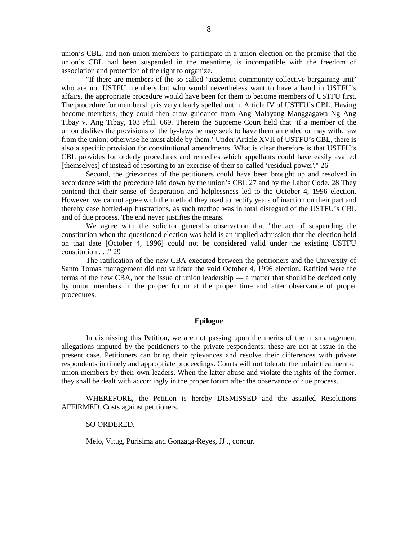union's CBL, and non-union members to participate in a union election on the premise that the union's CBL had been suspended in the meantime, is incompatible with the freedom of association and protection of the right to organize.

"If there are members of the so-called 'academic community collective bargaining unit' who are not USTFU members but who would nevertheless want to have a hand in USTFU's affairs, the appropriate procedure would have been for them to become members of USTFU first. The procedure for membership is very clearly spelled out in Article IV of USTFU's CBL. Having become members, they could then draw guidance from Ang Malayang Manggagawa Ng Ang Tibay v. Ang Tibay, 103 Phil. 669. Therein the Supreme Court held that 'if a member of the union dislikes the provisions of the by-laws he may seek to have them amended or may withdraw from the union; otherwise he must abide by them.' Under Article XVII of USTFU's CBL, there is also a specific provision for constitutional amendments. What is clear therefore is that USTFU's CBL provides for orderly procedures and remedies which appellants could have easily availed [themselves] of instead of resorting to an exercise of their so-called 'residual power'." 26

Second, the grievances of the petitioners could have been brought up and resolved in accordance with the procedure laid down by the union's CBL 27 and by the Labor Code. 28 They contend that their sense of desperation and helplessness led to the October 4, 1996 election. However, we cannot agree with the method they used to rectify years of inaction on their part and thereby ease bottled-up frustrations, as such method was in total disregard of the USTFU's CBL and of due process. The end never justifies the means.

We agree with the solicitor general's observation that "the act of suspending the constitution when the questioned election was held is an implied admission that the election held on that date [October 4, 1996] could not be considered valid under the existing USTFU constitution . . ." 29

The ratification of the new CBA executed between the petitioners and the University of Santo Tomas management did not validate the void October 4, 1996 election. Ratified were the terms of the new CBA, not the issue of union leadership — a matter that should be decided only by union members in the proper forum at the proper time and after observance of proper procedures.

## **Epilogue**

In dismissing this Petition, we are not passing upon the merits of the mismanagement allegations imputed by the petitioners to the private respondents; these are not at issue in the present case. Petitioners can bring their grievances and resolve their differences with private respondents in timely and appropriate proceedings. Courts will not tolerate the unfair treatment of union members by their own leaders. When the latter abuse and violate the rights of the former, they shall be dealt with accordingly in the proper forum after the observance of due process.

WHEREFORE, the Petition is hereby DISMISSED and the assailed Resolutions AFFIRMED. Costs against petitioners.

# SO ORDERED.

Melo, Vitug, Purisima and Gonzaga-Reyes, JJ ., concur.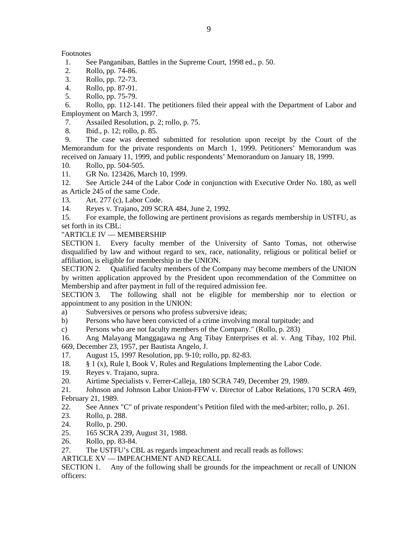# Footnotes

- 1. See Panganiban, Battles in the Supreme Court, 1998 ed., p. 50.
- 2. Rollo, pp. 74-86.
- 3. Rollo, pp. 72-73.
- 4. Rollo, pp. 87-91.
- 5. Rollo, pp. 75-79.

 6. Rollo, pp. 112-141. The petitioners filed their appeal with the Department of Labor and Employment on March 3, 1997.

7. Assailed Resolution, p. 2; rollo, p. 75.

8. Ibid., p. 12; rollo, p. 85.

 9. The case was deemed submitted for resolution upon receipt by the Court of the Memorandum for the private respondents on March 1, 1999. Petitioners' Memorandum was received on January 11, 1999, and public respondents' Memorandum on January 18, 1999.

10. Rollo, pp. 504-505.

11. GR No. 123426, March 10, 1999.

12. See Article 244 of the Labor Code in conjunction with Executive Order No. 180, as well as Article 245 of the same Code.

13. Art. 277 (c), Labor Code.

14. Reyes v. Trajano, 209 SCRA 484, June 2, 1992.

15. For example, the following are pertinent provisions as regards membership in USTFU, as set forth in its CBL:

# "ARTICLE IV — MEMBERSHIP

SECTION 1. Every faculty member of the University of Santo Tomas, not otherwise disqualified by law and without regard to sex, race, nationality, religious or political belief or affiliation, is eligible for membership in the UNION.

SECTION 2. Qualified faculty members of the Company may become members of the UNION by written application approved by the President upon recommendation of the Committee on Membership and after payment in full of the required admission fee.

SECTION 3. The following shall not be eligible for membership nor to election or appointment to any position in the UNION:

a) Subversives or persons who profess subversive ideas;

b) Persons who have been convicted of a crime involving moral turpitude; and

c) Persons who are not faculty members of the Company." (Rollo, p. 283)

16. Ang Malayang Manggagawa ng Ang Tibay Enterprises et al. v. Ang Tibay, 102 Phil. 669, December 23, 1957, per Bautista Angelo, J.

17. August 15, 1997 Resolution, pp. 9-10; rollo, pp. 82-83.

- 18. § 1 (x), Rule I, Book V, Rules and Regulations Implementing the Labor Code.
- 19. Reyes v. Trajano, supra.

20. Airtime Specialists v. Ferrer-Calleja, 180 SCRA 749, December 29, 1989.

21. Johnson and Johnson Labor Union-FFW v. Director of Labor Relations, 170 SCRA 469, February 21, 1989.

22. See Annex "C" of private respondent's Petition filed with the med-arbiter; rollo, p. 261.

- 23. Rollo, p. 288.
- 24. Rollo, p. 290.
- 25. 165 SCRA 239, August 31, 1988.
- 26. Rollo, pp. 83-84.

27. The USTFU's CBL as regards impeachment and recall reads as follows:

ARTICLE XV — IMPEACHMENT AND RECALL

SECTION 1. Any of the following shall be grounds for the impeachment or recall of UNION officers: